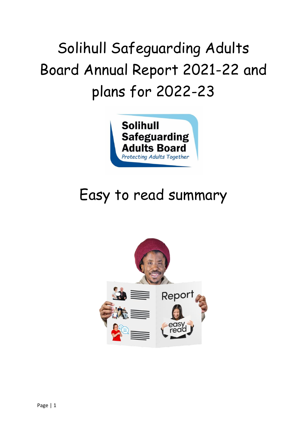# Solihull Safeguarding Adults Board Annual Report 2021-22 and plans for 2022-23



# Easy to read summary

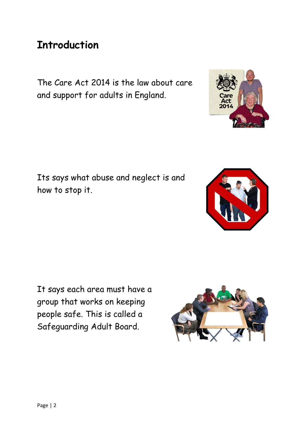#### **Introduction**

The Care Act 2014 is the law about care and support for adults in England.

Its says what abuse and neglect is and how to stop it.

It says each area must have a group that works on keeping people safe. This is called a Safeguarding Adult Board.





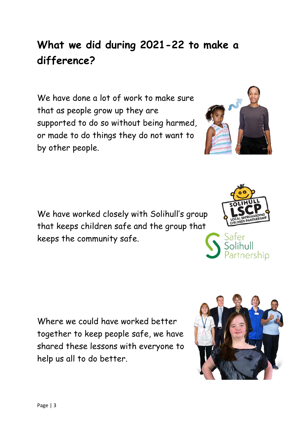### **What we did during 2021-22 to make a difference?**

We have done a lot of work to make sure that as people grow up they are supported to do so without being harmed, or made to do things they do not want to by other people.

We have worked closely with Solihull's group that keeps children safe and the group that keeps the community safe.

Where we could have worked better together to keep people safe, we have shared these lessons with everyone to help us all to do better.







shin



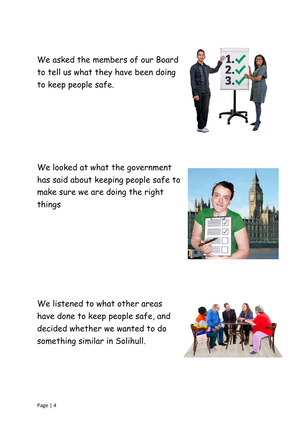We looked at what the government has said about keeping people safe to make sure we are doing the right things

We listened to what other areas have done to keep people safe, and decided whether we wanted to do something similar in Solihull.

We asked the members of our Board to tell us what they have been doing to keep people safe.





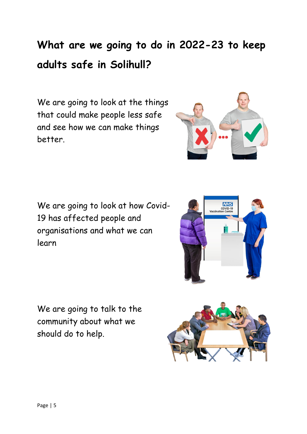## **What are we going to do in 2022-23 to keep adults safe in Solihull?**

We are going to look at the things that could make people less safe and see how we can make things better.



We are going to talk to the community about what we should do to help.